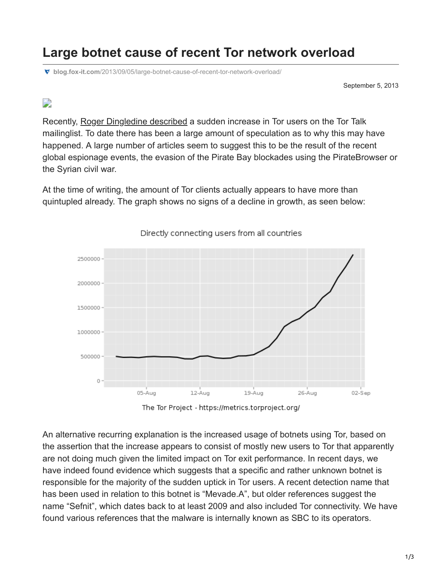## **Large botnet cause of recent Tor network overload**

**blog.fox-it.com**[/2013/09/05/large-botnet-cause-of-recent-tor-network-overload/](https://blog.fox-it.com/2013/09/05/large-botnet-cause-of-recent-tor-network-overload/)

September 5, 2013

## $\overline{\phantom{a}}$

Recently, [Roger Dingledine described](https://lists.torproject.org/pipermail/tor-talk/2013-August/029582.html) a sudden increase in Tor users on the Tor Talk mailinglist. To date there has been a large amount of speculation as to why this may have happened. A large number of articles seem to suggest this to be the result of the recent global espionage events, the evasion of the Pirate Bay blockades using the PirateBrowser or the Syrian civil war.

At the time of writing, the amount of Tor clients actually appears to have more than quintupled already. The graph shows no signs of a decline in growth, as seen below:



Directly connecting users from all countries

The Tor Project - https://metrics.torproject.org/

An alternative recurring explanation is the increased usage of botnets using Tor, based on the assertion that the increase appears to consist of mostly new users to Tor that apparently are not doing much given the limited impact on Tor exit performance. In recent days, we have indeed found evidence which suggests that a specific and rather unknown botnet is responsible for the majority of the sudden uptick in Tor users. A recent detection name that has been used in relation to this botnet is "Mevade.A", but older references suggest the name "Sefnit", which dates back to at least 2009 and also included Tor connectivity. We have found various references that the malware is internally known as SBC to its operators.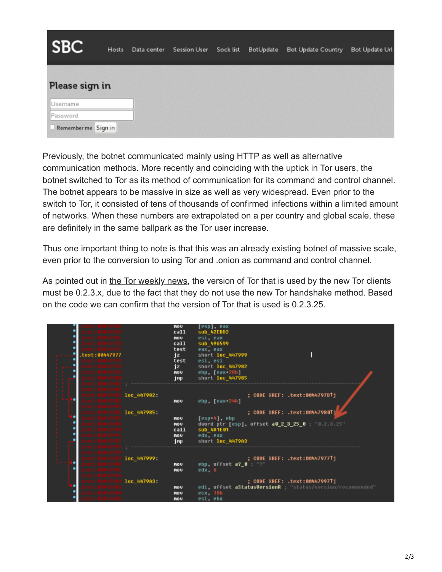| <b>SBC</b>           | Hosts | Data center Session User Sock list | BotUpdate | <b>Bot Update Country</b> | Bot Update Url |
|----------------------|-------|------------------------------------|-----------|---------------------------|----------------|
| Please sign in       |       |                                    |           |                           |                |
| Username<br>Password |       |                                    |           |                           |                |
| Remember me Sign in  |       |                                    |           |                           |                |

Previously, the botnet communicated mainly using HTTP as well as alternative communication methods. More recently and coinciding with the uptick in Tor users, the botnet switched to Tor as its method of communication for its command and control channel. The botnet appears to be massive in size as well as very widespread. Even prior to the switch to Tor, it consisted of tens of thousands of confirmed infections within a limited amount of networks. When these numbers are extrapolated on a per country and global scale, these are definitely in the same ballpark as the Tor user increase.

Thus one important thing to note is that this was an already existing botnet of massive scale, even prior to the conversion to using Tor and .onion as command and control channel.

As pointed out in [the Tor weekly news,](https://blog.torproject.org/blog/tor-weekly-news-%E2%80%94-september-4th-2013) the version of Tor that is used by the new Tor clients must be 0.2.3.x, due to the fact that they do not use the new Tor handshake method. Based on the code we can confirm that the version of Tor that is used is 0.2.3.25.

| text:00447977 | <b>nov</b><br>ca11<br>nov.<br>call<br>test<br>jz<br>test<br>jz<br>nov<br>jnp | [esp], eax<br><b>sub 42EDD2</b><br>$esi$ , eax<br>sub 496599<br>eax, eax<br>short loc 447999<br>esi, esi<br>short loc 447982<br>ebp, [eax-28h]<br>short loc 447985                           |
|---------------|------------------------------------------------------------------------------|----------------------------------------------------------------------------------------------------------------------------------------------------------------------------------------------|
|               | 1ос 447982<br>nov<br>1ос 447985<br><b>NOV</b><br>nov<br>call<br>nov.<br>jnp  | ; CODE XREF: .text:0044797BTj<br>ebp, [eax-24h]<br>; CODE XREF: .text:004479801<br>[esp+4], ebp<br>dword ptr [esp], offset a0 2 3 25 0 3 3.25"<br>sub_4D1E01<br>edx, eax<br>short loc 4479A3 |
| 18447999      | 1ос 447999:<br>nov.<br>nov<br>loc_4479A3<br><b>NOV</b><br>nov<br>nov         | ; CODE XREF: .text:00447977↑j<br>ebp, offset a?_0 : "?"<br>edx, 6<br>; CODE XREF: .text:00447997Tj<br>edi, offset aStatusVersionR ; "status/version/reconmended"<br>ecx, 1Bh<br>esi, ebx     |